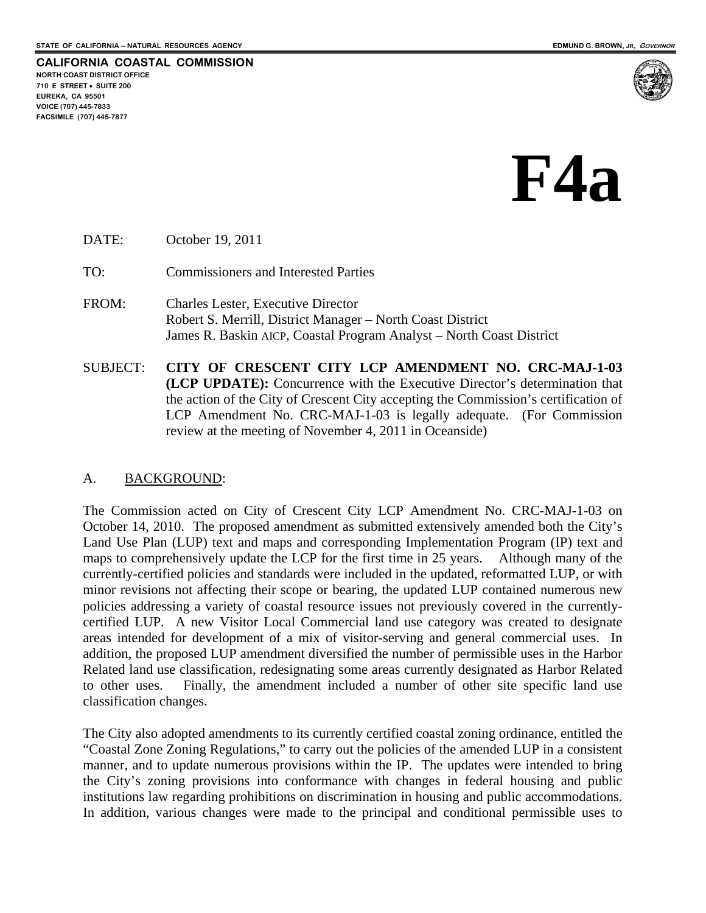

# **F4a**

DATE: October 19, 2011

TO: Commissioners and Interested Parties

- FROM: Charles Lester, Executive Director Robert S. Merrill, District Manager – North Coast District James R. Baskin AICP, Coastal Program Analyst – North Coast District
- SUBJECT: **CITY OF CRESCENT CITY LCP AMENDMENT NO. CRC-MAJ-1-03 (LCP UPDATE):** Concurrence with the Executive Director's determination that the action of the City of Crescent City accepting the Commission's certification of LCP Amendment No. CRC-MAJ-1-03 is legally adequate. (For Commission review at the meeting of November 4, 2011 in Oceanside)

### A. BACKGROUND:

The Commission acted on City of Crescent City LCP Amendment No. CRC-MAJ-1-03 on October 14, 2010. The proposed amendment as submitted extensively amended both the City's Land Use Plan (LUP) text and maps and corresponding Implementation Program (IP) text and maps to comprehensively update the LCP for the first time in 25 years. Although many of the currently-certified policies and standards were included in the updated, reformatted LUP, or with minor revisions not affecting their scope or bearing, the updated LUP contained numerous new policies addressing a variety of coastal resource issues not previously covered in the currentlycertified LUP. A new Visitor Local Commercial land use category was created to designate areas intended for development of a mix of visitor-serving and general commercial uses. In addition, the proposed LUP amendment diversified the number of permissible uses in the Harbor Related land use classification, redesignating some areas currently designated as Harbor Related to other uses. Finally, the amendment included a number of other site specific land use classification changes.

The City also adopted amendments to its currently certified coastal zoning ordinance, entitled the "Coastal Zone Zoning Regulations," to carry out the policies of the amended LUP in a consistent manner, and to update numerous provisions within the IP. The updates were intended to bring the City's zoning provisions into conformance with changes in federal housing and public institutions law regarding prohibitions on discrimination in housing and public accommodations. In addition, various changes were made to the principal and conditional permissible uses to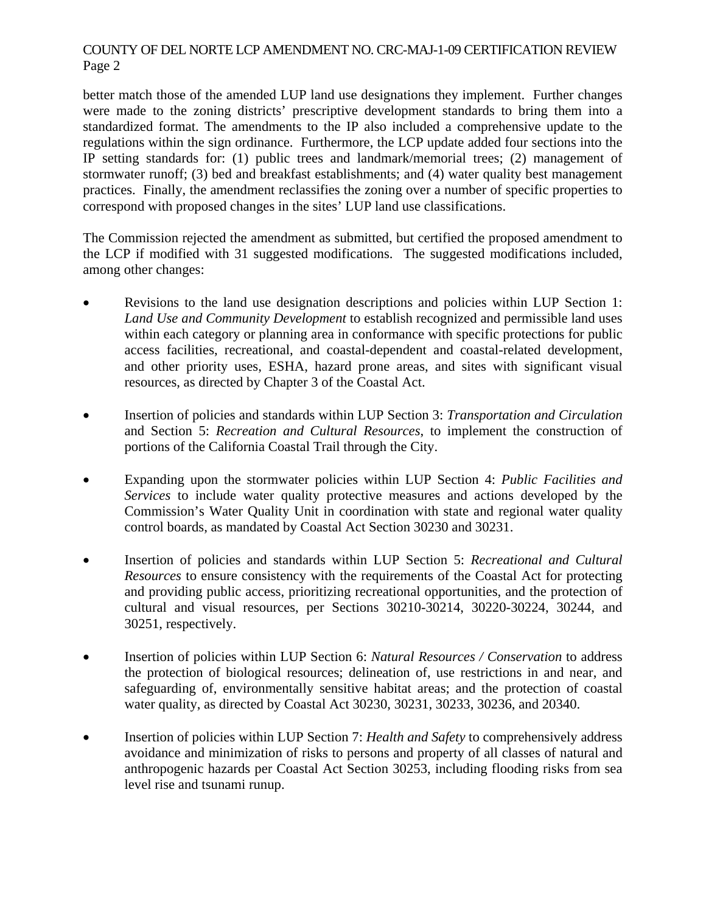## COUNTY OF DEL NORTE LCP AMENDMENT NO. CRC-MAJ-1-09 CERTIFICATION REVIEW Page 2

better match those of the amended LUP land use designations they implement. Further changes were made to the zoning districts' prescriptive development standards to bring them into a standardized format. The amendments to the IP also included a comprehensive update to the regulations within the sign ordinance. Furthermore, the LCP update added four sections into the IP setting standards for: (1) public trees and landmark/memorial trees; (2) management of stormwater runoff; (3) bed and breakfast establishments; and (4) water quality best management practices. Finally, the amendment reclassifies the zoning over a number of specific properties to correspond with proposed changes in the sites' LUP land use classifications.

The Commission rejected the amendment as submitted, but certified the proposed amendment to the LCP if modified with 31 suggested modifications. The suggested modifications included, among other changes:

- Revisions to the land use designation descriptions and policies within LUP Section 1: *Land Use and Community Development* to establish recognized and permissible land uses within each category or planning area in conformance with specific protections for public access facilities, recreational, and coastal-dependent and coastal-related development, and other priority uses, ESHA, hazard prone areas, and sites with significant visual resources, as directed by Chapter 3 of the Coastal Act.
- Insertion of policies and standards within LUP Section 3: *Transportation and Circulation* and Section 5: *Recreation and Cultural Resources*, to implement the construction of portions of the California Coastal Trail through the City.
- Expanding upon the stormwater policies within LUP Section 4: *Public Facilities and Services* to include water quality protective measures and actions developed by the Commission's Water Quality Unit in coordination with state and regional water quality control boards, as mandated by Coastal Act Section 30230 and 30231.
- Insertion of policies and standards within LUP Section 5: *Recreational and Cultural Resources* to ensure consistency with the requirements of the Coastal Act for protecting and providing public access, prioritizing recreational opportunities, and the protection of cultural and visual resources, per Sections 30210-30214, 30220-30224, 30244, and 30251, respectively.
- Insertion of policies within LUP Section 6: *Natural Resources / Conservation* to address the protection of biological resources; delineation of, use restrictions in and near, and safeguarding of, environmentally sensitive habitat areas; and the protection of coastal water quality, as directed by Coastal Act 30230, 30231, 30233, 30236, and 20340.
- Insertion of policies within LUP Section 7: *Health and Safety* to comprehensively address avoidance and minimization of risks to persons and property of all classes of natural and anthropogenic hazards per Coastal Act Section 30253, including flooding risks from sea level rise and tsunami runup.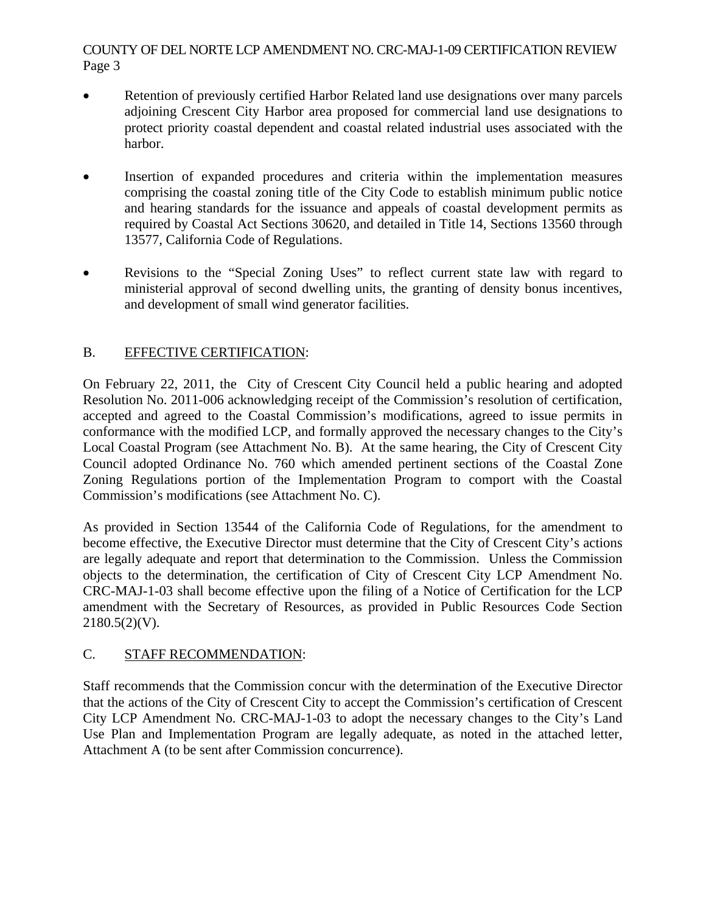## COUNTY OF DEL NORTE LCP AMENDMENT NO. CRC-MAJ-1-09 CERTIFICATION REVIEW Page 3

- Retention of previously certified Harbor Related land use designations over many parcels adjoining Crescent City Harbor area proposed for commercial land use designations to protect priority coastal dependent and coastal related industrial uses associated with the harbor.
- Insertion of expanded procedures and criteria within the implementation measures comprising the coastal zoning title of the City Code to establish minimum public notice and hearing standards for the issuance and appeals of coastal development permits as required by Coastal Act Sections 30620, and detailed in Title 14, Sections 13560 through 13577, California Code of Regulations.
- Revisions to the "Special Zoning Uses" to reflect current state law with regard to ministerial approval of second dwelling units, the granting of density bonus incentives, and development of small wind generator facilities.

# B. EFFECTIVE CERTIFICATION:

On February 22, 2011, the City of Crescent City Council held a public hearing and adopted Resolution No. 2011-006 acknowledging receipt of the Commission's resolution of certification, accepted and agreed to the Coastal Commission's modifications, agreed to issue permits in conformance with the modified LCP, and formally approved the necessary changes to the City's Local Coastal Program (see Attachment No. B). At the same hearing, the City of Crescent City Council adopted Ordinance No. 760 which amended pertinent sections of the Coastal Zone Zoning Regulations portion of the Implementation Program to comport with the Coastal Commission's modifications (see Attachment No. C).

As provided in Section 13544 of the California Code of Regulations, for the amendment to become effective, the Executive Director must determine that the City of Crescent City's actions are legally adequate and report that determination to the Commission. Unless the Commission objects to the determination, the certification of City of Crescent City LCP Amendment No. CRC-MAJ-1-03 shall become effective upon the filing of a Notice of Certification for the LCP amendment with the Secretary of Resources, as provided in Public Resources Code Section  $2180.5(2)(V)$ .

# C. STAFF RECOMMENDATION:

Staff recommends that the Commission concur with the determination of the Executive Director that the actions of the City of Crescent City to accept the Commission's certification of Crescent City LCP Amendment No. CRC-MAJ-1-03 to adopt the necessary changes to the City's Land Use Plan and Implementation Program are legally adequate, as noted in the attached letter, Attachment A (to be sent after Commission concurrence).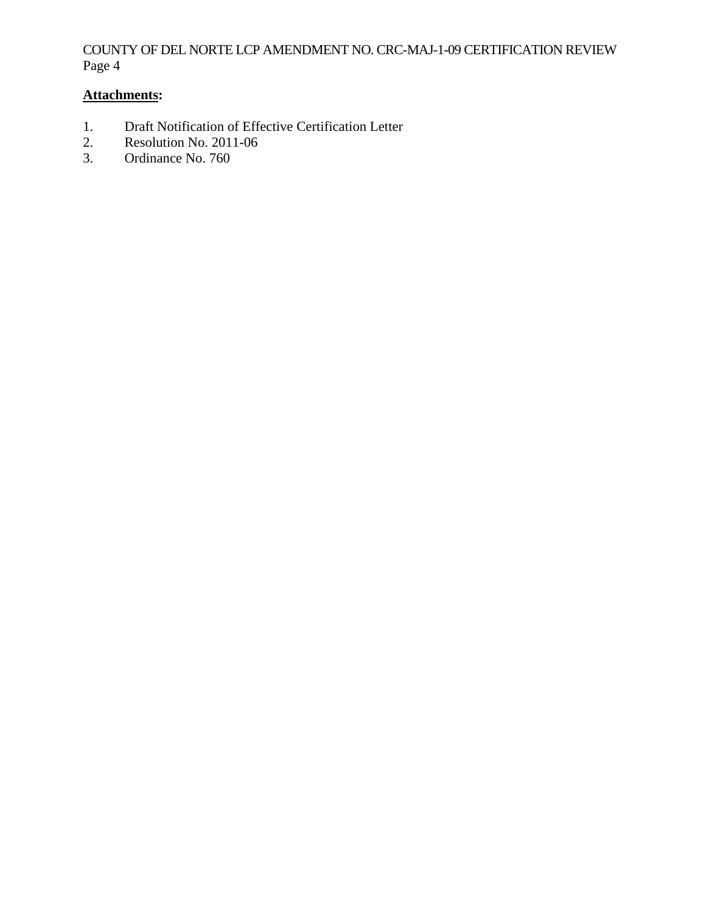## COUNTY OF DEL NORTE LCP AMENDMENT NO. CRC-MAJ-1-09 CERTIFICATION REVIEW Page 4

# **Attachments:**

- 1. Draft Notification of Effective Certification Letter
- 2. Resolution No. 2011-06<br>3. Ordinance No. 760
- Ordinance No. 760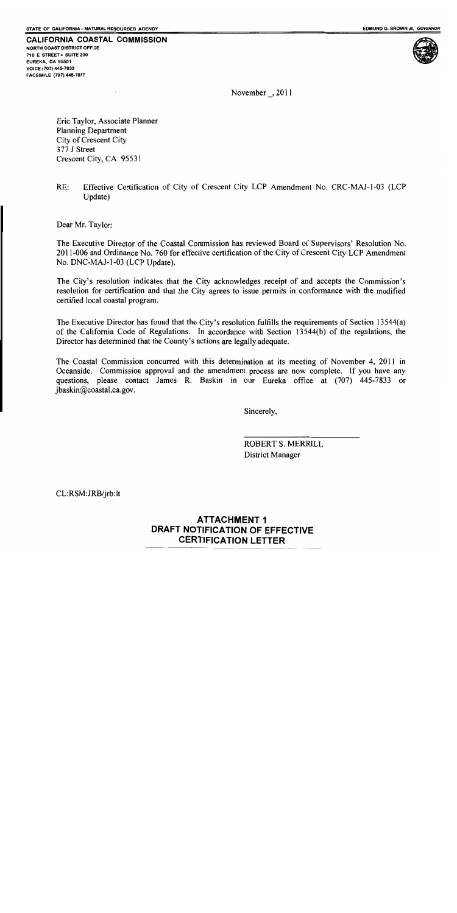**CALIFORNIA COASTAL COMMISSION** NORTH COAST DISTRICT OFFICE 710 E STREET . SUITE 200 EUREKA, CA 95501 VOICE (707) 445-7833 FACSIMILE (707) 445-7877



November  $\_, 2011$ 

Eric Taylor, Associate Planner **Planning Department** City of Crescent City 377 J Street Crescent City, CA 95531

 $RE:$ Effective Certification of City of Crescent City LCP Amendment No. CRC-MAJ-1-03 (LCP Update)

Dear Mr. Taylor:

The Executive Director of the Coastal Commission has reviewed Board of Supervisors' Resolution No. 2011-006 and Ordinance No. 760 for effective certification of the City of Crescent City LCP Amendment No. DNC-MAJ-1-03 (LCP Update).

The City's resolution indicates that the City acknowledges receipt of and accepts the Commission's resolution for certification and that the City agrees to issue permits in conformance with the modified certified local coastal program.

The Executive Director has found that the City's resolution fulfills the requirements of Section 13544(a) of the California Code of Regulations. In accordance with Section 13544(b) of the regulations, the Director has determined that the County's actions are legally adequate.

The Coastal Commission concurred with this determination at its meeting of November 4, 2011 in Oceanside. Commission approval and the amendment process are now complete. If you have any questions, please contact James R. Baskin in our Eureka office at (707) 445-7833 or jbaskin@coastal.ca.gov.

Sincerely,

**ROBERT S. MERRILL** District Manager

CL:RSM:JRB/jrb:lt

## **ATTACHMENT 1** DRAFT NOTIFICATION OF EFFECTIVE **CERTIFICATION LETTER**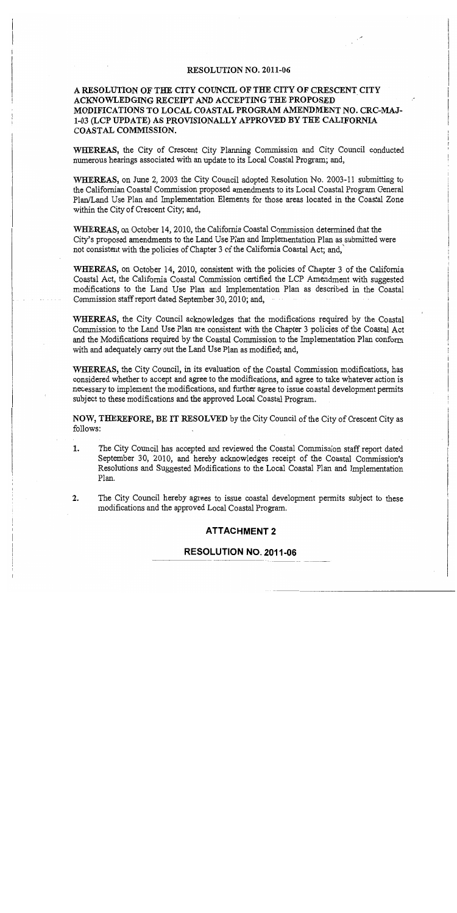#### RESOLUTION NO. 2011-06

### A RESOLUTION OF THE CITY COUNCIL OF THE CITY OF CRESCENT CITY ACKNOWLEDGING RECEIPT AND ACCEPTING THE PROPOSED MODIFICATIONS TO LOCAL COASTAL PROGRAM AMENDMENT NO. CRC-MAJ-1-03 (LCP UPDATE) AS PROVISIONALLY APPROVED BY THE CALIFORNIA COASTAL COMMISSION.

WHEREAS, the City of Crescent City Planning Commission and City Council conducted numerous hearings associated with an update to its Local Coastal Program; and,

**WHEREAS,** on June 2, 2003 the City Council adopted Resolution No. 2003-11 submitting to the Californian Coastal Commission proposed amendments to its Local Coastal Program General Plan/Land Use Plan and Implementation Elements for those areas located in the Coastal Zone within the City of Crescent City; and,

WHEREAS, on October 14, 2010, the California Coastal Commission determined that the City's proposed amendments to the Land Use Plan and Implementation Plan as submitted were not consistent with the policies of Chapter 3 of the California Coastal Act; and,

WHEREAS, on October 14, 2010, consistent with the policies of Chapter 3 of the California Coastal Act, the California Coastal Commission certified the LCP Amendment with suggested modifications to the Land Use Plan and Implementation Plan as described in the Coastal Commission staff report dated September 30, 2010; and,

WHEREAS, the City Council acknowledges that the modifications required by the Coastal Commission to the Land Use Plan are consistent with the Chapter 3 policies of the Coastal Act and the Modifications required by the Coastal Commission to the Implementation Plan conform with and adequately carry out the Land Use Plan as modified; and,

WHEREAS, the City Council, in its evaluation of the Coastal Commission modifications, has considered whether to accept and agree to the modifications, and agree to take whatever action is necessary to implement the modifications, and further agree to issue coastal development permits subject to these modifications and the approved Local Coastal Program.

NOW, THEREFORE, BE IT RESOLVED by the City Council of the City of Crescent City as follows:

- 1. The City Council has accepted and reviewed the Coastal Commission staff report dated September 30, 2010, and hereby acknowledges receipt of the Coastal Commission's Resolutions and Suggested Modifications to the Local Coastal Plan and Implementation Plan.
- $2.$ The City Council hereby agrees to issue coastal development permits subject to these modifications and the approved Local Coastal Program.

#### **ATTACHMENT 2**

#### RESOLUTION NO. 2011-06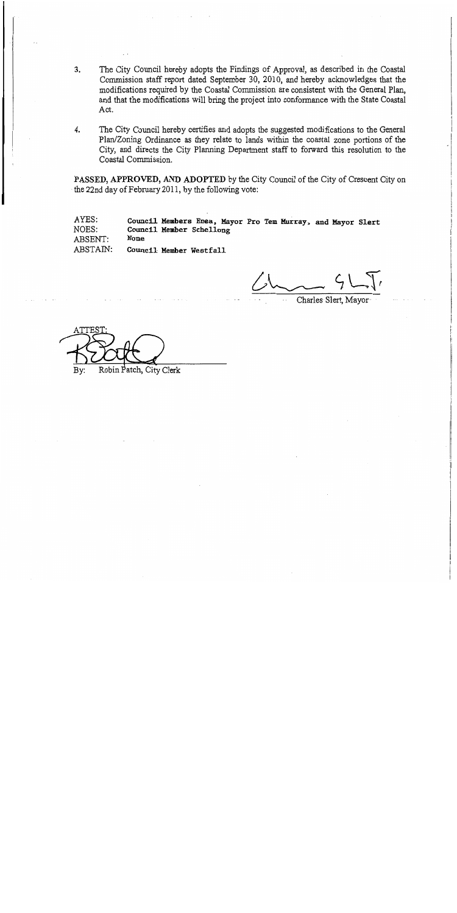- $3.$ The City Council hereby adopts the Findings of Approval, as described in the Coastal Commission staff report dated September 30, 2010, and hereby acknowledges that the modifications required by the Coastal Commission are consistent with the General Plan, and that the modifications will bring the project into conformance with the State Coastal Act.
- $\overline{4}$ . The City Council hereby certifies and adopts the suggested modifications to the General Plan/Zoning Ordinance as they relate to lands within the coastal zone portions of the City, and directs the City Planning Department staff to forward this resolution to the Coastal Commission.

PASSED, APPROVED, AND ADOPTED by the City Council of the City of Crescent City on the 22nd day of February 2011, by the following vote:

AYES: Council Members Enea, Mayor Pro Tem Murray, and Mayor Slert NOES: Council Member Schellong **None** ABSENT: ABSTAIN: Council Member Westfall

Charles Slert, Mavor

Robin Patch, City Clerk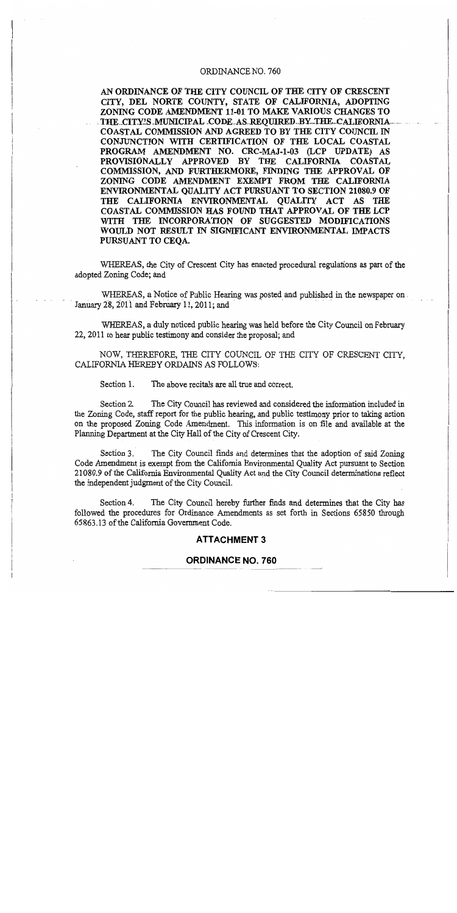#### ORDINANCE NO. 760

AN ORDINANCE OF THE CITY COUNCIL OF THE CITY OF CRESCENT CITY, DEL NORTE COUNTY, STATE OF CALIFORNIA, ADOPTING ZONING CODE AMENDMENT 11-01 TO MAKE VARIOUS CHANGES TO THE CITY'S MUNICIPAL CODE AS REOUIRED BY THE CALIFORNIA COASTAL COMMISSION AND AGREED TO BY THE CITY COUNCIL IN CONJUNCTION WITH CERTIFICATION OF THE LOCAL COASTAL PROGRAM AMENDMENT NO. CRC-MAJ-1-03 (LCP UPDATE) AS PROVISIONALLY APPROVED BY THE CALIFORNIA COASTAL COMMISSION, AND FURTHERMORE, FINDING THE APPROVAL OF ZONING CODE AMENDMENT EXEMPT FROM THE CALIFORNIA ENVIRONMENTAL OUALITY ACT PURSUANT TO SECTION 21080.9 OF THE CALIFORNIA ENVIRONMENTAL OUALITY ACT AS THE COASTAL COMMISSION HAS FOUND THAT APPROVAL OF THE LCP WITH THE INCORPORATION OF SUGGESTED MODIFICATIONS WOULD NOT RESULT IN SIGNIFICANT ENVIRONMENTAL IMPACTS PURSUANT TO CEOA.

WHEREAS, the City of Crescent City has enacted procedural regulations as part of the adopted Zoning Code; and

WHEREAS, a Notice of Public Hearing was posted and published in the newspaper on January 28, 2011 and February 11, 2011; and

WHEREAS, a duly noticed public hearing was held before the City Council on February 22, 2011 to hear public testimony and consider the proposal; and

NOW, THEREFORE, THE CITY COUNCIL OF THE CITY OF CRESCENT CITY, CALIFORNIA HEREBY ORDAINS AS FOLLOWS:

Section 1. The above recitals are all true and correct.

Section 2. The City Council has reviewed and considered the information included in the Zoning Code, staff report for the public hearing, and public testimony prior to taking action on the proposed Zoning Code Amendment. This information is on file and available at the Planning Department at the City Hall of the City of Crescent City.

Section 3. The City Council finds and determines that the adoption of said Zoning Code Amendment is exempt from the California Environmental Quality Act pursuant to Section 21080.9 of the California Environmental Quality Act and the City Council determinations reflect the independent judgment of the City Council.

The City Council hereby further finds and determines that the City has Section 4. followed the procedures for Ordinance Amendments as set forth in Sections 65850 through 65863.13 of the California Government Code.

#### **ATTACHMENT 3**

#### **ORDINANCE NO. 760**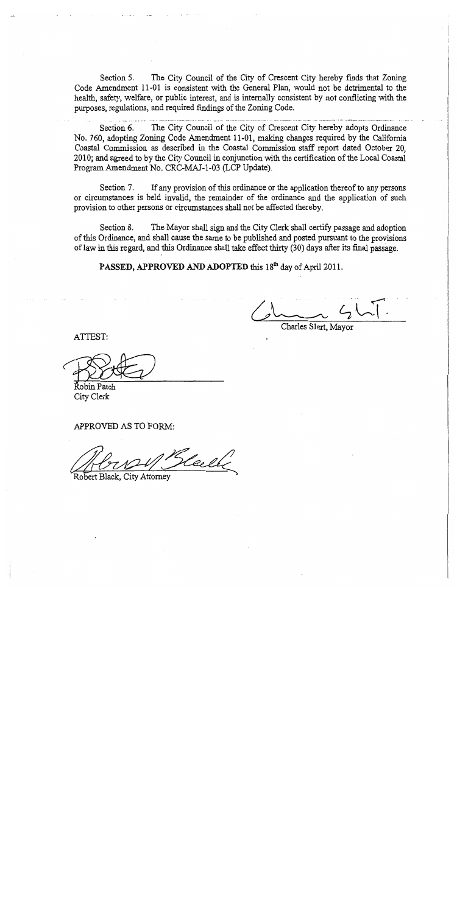The City Council of the City of Crescent City hereby finds that Zoning Section 5. Code Amendment 11-01 is consistent with the General Plan, would not be detrimental to the health, safety, welfare, or public interest, and is internally consistent by not conflicting with the purposes, regulations, and required findings of the Zoning Code.

The City Council of the City of Crescent City hereby adopts Ordinance Section 6. No. 760, adopting Zoning Code Amendment 11-01, making changes required by the California Coastal Commission as described in the Coastal Commission staff report dated October 20, 2010; and agreed to by the City Council in conjunction with the certification of the Local Coastal Program Amendment No. CRC-MAJ-1-03 (LCP Update).

Section 7. If any provision of this ordinance or the application thereof to any persons or circumstances is held invalid, the remainder of the ordinance and the application of such provision to other persons or circumstances shall not be affected thereby.

Section 8. The Mayor shall sign and the City Clerk shall certify passage and adoption of this Ordinance, and shall cause the same to be published and posted pursuant to the provisions of law in this regard, and this Ordinance shall take effect thirty (30) days after its final passage.

PASSED, APPROVED AND ADOPTED this 18<sup>th</sup> day of April 2011.

Charles Slert, Mayor

ATTEST:

Řobin Patch City Clerk

APPROVED AS TO FORM:

Keele

Robert Black, City Attorney